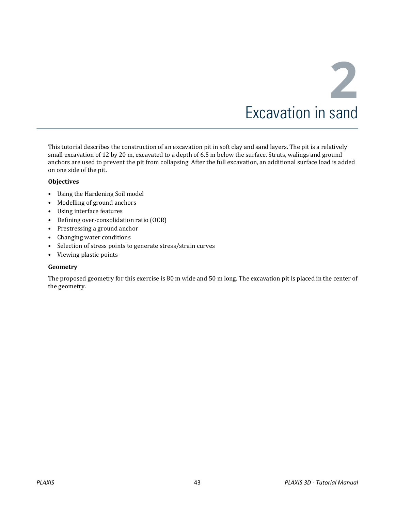This tutorial describes the construction of an excavation pit in soft clay and sand layers. The pit is a relatively small excavation of 12 by 20 m, excavated to a depth of 6.5 m below the surface. Struts, walings and ground anchors are used to prevent the pit from collapsing. After the full excavation, an additional surface load is added on one side of the pit.

## **Objectives**

- Using the Hardening Soil model
- Modelling of ground anchors
- Using interface features
- Defining over-consolidation ratio (OCR)
- Prestressing a ground anchor
- Changing water conditions
- Selection of stress points to generate stress/strain curves
- Viewing plastic points

### **Geometry**

The proposed geometry for this exercise is 80 m wide and 50 m long. The excavation pit is placed in the center of the geometry.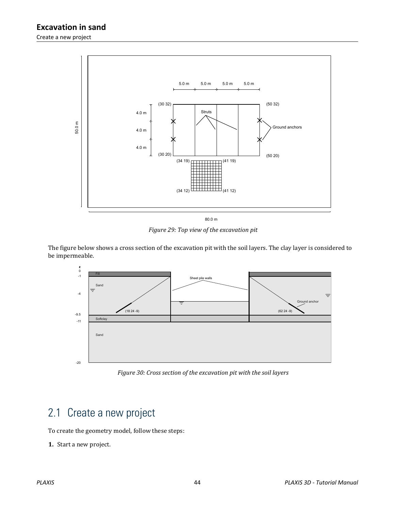

*Figure 29: Top view of the excavation pit*

The figure below shows a cross section of the excavation pit with the soil layers. The clay layer is considered to be impermeable.



*Figure 30: Cross section of the excavation pit with the soil layers*

# 2.1 Create a new project

To create the geometry model, follow these steps:

**1.** Start a new project.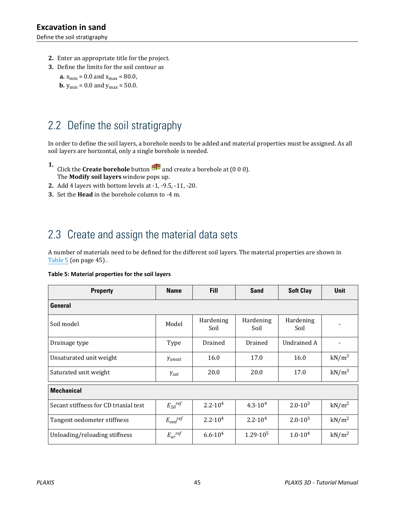<span id="page-2-0"></span>Define the soil stratigraphy

- **2.** Enter an appropriate title for the project.
- **3.** Define the limits for the soil contour as
	- **a.**  $x_{\text{min}} = 0.0$  and  $x_{\text{max}} = 80.0$ ,
	- **b.**  $y_{\text{min}} = 0.0$  and  $y_{\text{max}} = 50.0$ .

# 2.2 Define the soil stratigraphy

In order to define the soil layers, a borehole needs to be added and material properties must be assigned. As all soil layers are horizontal, only a single borehole is needed.

- **1.** Click the **Create borehole** button **Figure 2** and create a borehole at (0 0 0). The **Modify soil layers** window pops up.
- **2.** Add 4 layers with bottom levels at -1, -9.5, -11, -20.
- **3.** Set the **Head** in the borehole column to -4 m.

# 2.3 Create and assign the material data sets

A number of materials need to be defined for the different soil layers. The material properties are shown in Table 5 (on page 45) .

| Table 5: Material properties for the soil layers |  |  |  |
|--------------------------------------------------|--|--|--|
|--------------------------------------------------|--|--|--|

| <b>Property</b>                       | <b>Name</b>             | <b>Fill</b>        | <b>Sand</b>        | <b>Soft Clay</b>   | <b>Unit</b>              |  |  |  |
|---------------------------------------|-------------------------|--------------------|--------------------|--------------------|--------------------------|--|--|--|
| General                               |                         |                    |                    |                    |                          |  |  |  |
| Soil model                            | Model                   | Hardening<br>Soil  | Hardening<br>Soil  | Hardening<br>Soil  |                          |  |  |  |
| Drainage type                         | Type                    | Drained            | Drained            | <b>Undrained A</b> | $\overline{\phantom{a}}$ |  |  |  |
| Unsaturated unit weight               | Yunsat                  | 16.0               | 17.0               | 16.0               | $kN/m^3$                 |  |  |  |
| Saturated unit weight                 | $\gamma_{\text sat}$    | 20.0               | 20.0               | 17.0               | $kN/m^3$                 |  |  |  |
| <b>Mechanical</b>                     |                         |                    |                    |                    |                          |  |  |  |
| Secant stiffness for CD triaxial test | $E_{50}$ <sup>ref</sup> | $2.2 \cdot 10^{4}$ | $4.3 \cdot 10^{4}$ | $2.0 \cdot 10^{3}$ | kN/m <sup>2</sup>        |  |  |  |
| Tangent oedometer stiffness           | $E_{oed}$ ref           | $2.2 \cdot 10^{4}$ | $2.2 \cdot 10^4$   | $2.0 \cdot 10^{3}$ | kN/m <sup>2</sup>        |  |  |  |
| Unloading/reloading stiffness         | $E_{ur}$ <sup>ref</sup> | $6.6 \cdot 10^{4}$ | $1.29 \cdot 10^5$  | $1.0 \cdot 10^{4}$ | kN/m <sup>2</sup>        |  |  |  |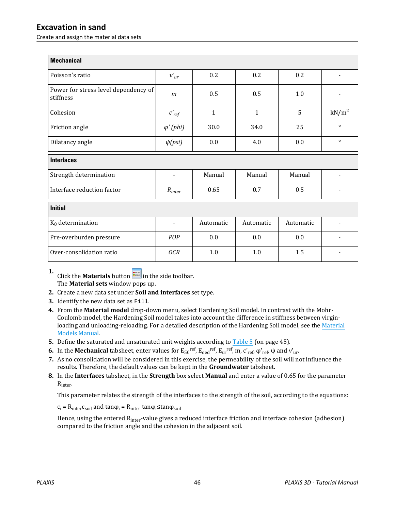Create and assign the material data sets

| <b>Mechanical</b>                                 |                          |              |              |           |                          |  |
|---------------------------------------------------|--------------------------|--------------|--------------|-----------|--------------------------|--|
| Poisson's ratio                                   | $v'_{ur}$                | 0.2          | 0.2          | 0.2       | $\overline{\phantom{a}}$ |  |
| Power for stress level dependency of<br>stiffness | m                        | 0.5          | 0.5          | 1.0       |                          |  |
| Cohesion                                          | $c'_{ref}$               | $\mathbf{1}$ | $\mathbf{1}$ | 5         | kN/m <sup>2</sup>        |  |
| Friction angle                                    | $\varphi'(phi)$          | 30.0         | 34.0         | 25        | $\circ$                  |  |
| Dilatancy angle                                   | $\psi(psi)$              | 0.0          | 4.0          | 0.0       | $\circ$                  |  |
| <b>Interfaces</b>                                 |                          |              |              |           |                          |  |
| Strength determination                            | $\frac{1}{2}$            | Manual       | Manual       | Manual    |                          |  |
| Interface reduction factor                        | $R_{inter}$              | 0.65         | 0.7          | 0.5       |                          |  |
| <b>Initial</b>                                    |                          |              |              |           |                          |  |
| $K_0$ determination                               | $\overline{\phantom{a}}$ | Automatic    | Automatic    | Automatic |                          |  |
| Pre-overburden pressure                           | POP                      | 0.0          | 0.0          | 0.0       |                          |  |
| Over-consolidation ratio                          | 0CR                      | 1.0          | 1.0          | 1.5       |                          |  |

**1.** Click the **Materials** button  $\mathbf{I}$  in the side toolbar. The **Material sets** window pops up.

- **2.** Create a new data set under **Soil and interfaces** set type.
- **3.** Identify the new data set as Fill.
- **4.** From the **Material model** drop-down menu, select Hardening Soil model. In contrast with the Mohr-Coulomb model, the Hardening Soil model takes into account the difference in stiffness between virginloading and unloading-reloading. For a detailed description of the Hardening Soil model, see the Material Models Manual.
- **5.** Define the saturated and unsaturated unit weights according to [Table 5](#page-2-0) (on page 45).
- **6.** In the **Mechanical** tabsheet, enter values for  $E_{50}^{ref}$ ,  $E_{oed}^{ref}$ ,  $E_{ur}^{ref}$ ,  $m$ ,  $c'_{ref}$ ,  $\varphi'_{ref}$ ,  $\psi$  and  $v'_{ur}$ .
- **7.** As no consolidation will be considered in this exercise, the permeability of the soil will not influence the results. Therefore, the default values can be kept in the **Groundwater** tabsheet.
- **8.** In the **Interfaces** tabsheet, in the **Strength** box select **Manual** and enter a value of 0.65 for the parameter Rinter.

This parameter relates the strength of the interfaces to the strength of the soil, according to the equations:

 $c_i = R_{inter}c_{soil}$  and tan $\varphi_i = R_{inter}$  tan $\varphi_i$  stan $\varphi_{soil}$ 

Hence, using the entered R<sub>inter</sub>-value gives a reduced interface friction and interface cohesion (adhesion) compared to the friction angle and the cohesion in the adjacent soil.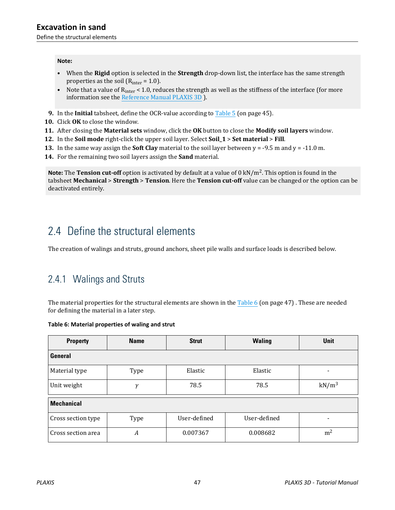#### <span id="page-4-0"></span>**Note:**

- When the **Rigid** option is selected in the **Strength** drop-down list, the interface has the same strength properties as the soil ( $R<sub>inter</sub> = 1.0$ ).
- Note that a value of  $R<sub>inter</sub> < 1.0$ , reduces the strength as well as the stiffness of the interface (for more information see the Reference Manual PLAXIS 3D ).
- **9.** In the **Initial** tabsheet, define the OCR-value according to [Table 5](#page-2-0) (on page 45).
- **10.** Click **OK** to close the window.
- **11.** After closing the **Material sets** window, click the **OK** button to close the **Modify soil layers** window.
- **12.** In the **Soil mode** right-click the upper soil layer. Select **Soil\_1** > **Set material** > **Fill**.
- **13.** In the same way assign the **Soft Clay** material to the soil layer between y = -9.5 m and y = -11.0 m.
- **14.** For the remaining two soil layers assign the **Sand** material.

**Note:** The **Tension cut-off** option is activated by default at a value of 0 kN/m<sup>2</sup> . This option is found in the tabsheet **Mechanical** > **Strength** > **Tension**. Here the **Tension cut-off** value can be changed or the option can be deactivated entirely.

# 2.4 Define the structural elements

The creation of walings and struts, ground anchors, sheet pile walls and surface loads is described below.

## 2.4.1 Walings and Struts

The material properties for the structural elements are shown in the Table 6 (on page 47). These are needed for defining the material in a later step.

### **Table 6: Material properties of waling and strut**

| <b>Property</b>    | <b>Name</b>      | <b>Strut</b> | <b>Waling</b> | <b>Unit</b>              |  |  |
|--------------------|------------------|--------------|---------------|--------------------------|--|--|
| General            |                  |              |               |                          |  |  |
| Material type      | Type             | Elastic      | Elastic       | $\overline{\phantom{0}}$ |  |  |
| Unit weight        | $\mathcal{V}$    | 78.5         | 78.5          | kN/m <sup>3</sup>        |  |  |
| <b>Mechanical</b>  |                  |              |               |                          |  |  |
| Cross section type | Type             | User-defined | User-defined  | $\overline{\phantom{0}}$ |  |  |
| Cross section area | $\boldsymbol{A}$ | 0.007367     | 0.008682      | m <sup>2</sup>           |  |  |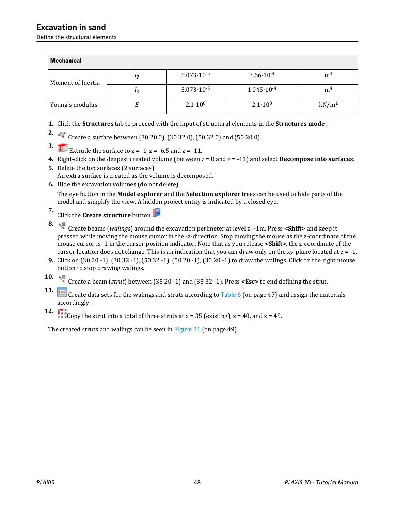Define the structural elements

| <b>Mechanical</b> |                |                       |                       |                   |
|-------------------|----------------|-----------------------|-----------------------|-------------------|
| Moment of Inertia | 12             | $5.073 \cdot 10^{-5}$ | $3.66 \cdot 10^{-4}$  | m <sup>4</sup>    |
|                   | 1 <sub>3</sub> | $5.073 \cdot 10^{-5}$ | $1.045 \cdot 10^{-4}$ | m <sup>4</sup>    |
| Young's modulus   |                | $2.1 \cdot 10^8$      | $2.1 \cdot 10^8$      | kN/m <sup>2</sup> |

- **1.** Click the **Structures** tab to proceed with the input of structural elements in the **Structures mode** .
- **2.**  $\leftrightarrow$  Create a surface between (30 20 0), (30 32 0), (50 32 0) and (50 20 0).
- **3. Extrude the surface to**  $z = -1$ **,**  $z = -6.5$  **and**  $z = -11$ **.**
- **4.** Right-click on the deepest created volume (between z = 0 and z = -11) and select **Decompose into surfaces**.
- **5.** Delete the top surfaces (2 surfaces). An extra surface is created as the volume is decomposed.
- **6.** Hide the excavation volumes (do not delete).

The eye button in the **Model explorer** and the **Selection explorer** trees can be used to hide parts of the model and simplify the view. A hidden project entity is indicated by a closed eye.

- **7.** Click the **Create structure** button .
- **8.**

 Create beams (*walings*) around the excavation perimeter at level z=-1m. Press **<Shift>** and keep it pressed while moving the mouse cursor in the -z-direction. Stop moving the mouse as the z-coordinate of the mouse cursor is -1 in the cursor position indicator. Note that as you release **<Shift>**, the z-coordinate of the cursor location does not change. This is an indication that you can draw only on the xy-plane located at z = -1.

- **9.** Click on (30 20 -1), (30 32 -1), (50 32 -1), (50 20 -1), (30 20 -1) to draw the walings. Click on the right mouse button to stop drawing walings.
- **10.**  $\sqrt{\frac{25}{3}}$  Create a beam (*strut*) between (35 20 -1) and (35 32 -1). Press **<Esc>** to end defining the strut.
- **11.** Create data sets for the walings and struts according to [Table 6](#page-4-0) (on page 47) and assign the materials **Create** accordingly.
- **12.**  $\frac{1}{2}$   $\frac{1}{2}$   $\frac{1}{2}$  Copy the strut into a total of three struts at x = 35 (existing), x = 40, and x = 45.

The created struts and walings can be seen in [Figure 31](#page-6-0) (on page 49)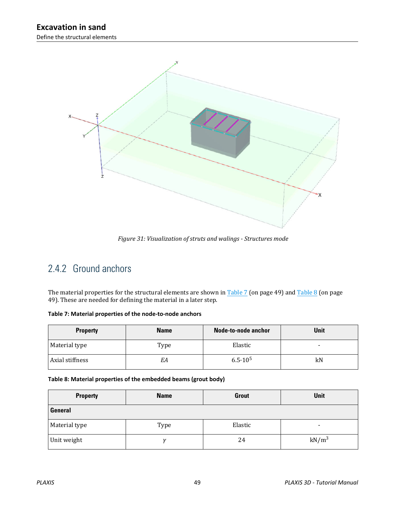<span id="page-6-0"></span>

*Figure 31: Visualization of struts and walings - Structures mode*

## 2.4.2 Ground anchors

The material properties for the structural elements are shown in Table 7 (on page 49) and Table 8 (on page 49). These are needed for defining the material in a later step.

| <b>Property</b> | <b>Name</b> | <b>Node-to-node anchor</b> | <b>Unit</b> |
|-----------------|-------------|----------------------------|-------------|
| Material type   | Type        | Elastic                    | -           |
| Axial stiffness | EΑ          | $6.5 \cdot 10^5$           | kN          |

| Table 8: Material properties of the embedded beams (grout body) |  |  |  |
|-----------------------------------------------------------------|--|--|--|
|                                                                 |  |  |  |

| <b>Property</b> | <b>Name</b> | <b>Grout</b> | <b>Unit</b> |
|-----------------|-------------|--------------|-------------|
| General         |             |              |             |
| Material type   | Type        | Elastic      | $\,$        |
| Unit weight     | 11          | 24           | $kN/m^3$    |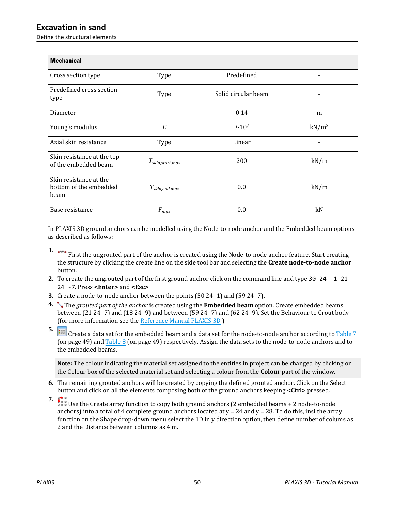Define the structural elements

| <b>Mechanical</b>                                        |                      |                     |                   |
|----------------------------------------------------------|----------------------|---------------------|-------------------|
| Cross section type                                       | Type                 | Predefined          | ٠                 |
| Predefined cross section<br>type                         | Type                 | Solid circular beam |                   |
| Diameter                                                 | ٠                    | 0.14                | m                 |
| Young's modulus                                          | E                    | $3.10^{7}$          | kN/m <sup>2</sup> |
| Axial skin resistance                                    | Type                 | Linear              |                   |
| Skin resistance at the top<br>of the embedded beam       | $T_{skin,start,max}$ | 200                 | kN/m              |
| Skin resistance at the<br>bottom of the embedded<br>beam | $T_{skin,end,max}$   | 0.0                 | kN/m              |
| Base resistance                                          | $F_{max}$            | 0.0                 | kN                |

In PLAXIS 3D ground anchors can be modelled using the Node-to-node anchor and the Embedded beam options as described as follows:

**1.**  $\sim$  First the ungrouted part of the anchor is created using the Node-to-node anchor feature. Start creating the structure by clicking the create line on the side tool bar and selecting the **Create node-to-node anchor** button.

- **2.** To create the ungrouted part of the first ground anchor click on the command line and type 30 24 -1 21 24 -7. Press **<Enter>** and **<Esc>**
- **3.** Create a node-to-node anchor between the points (50 24 -1) and (59 24 -7).
- **4.** The *grouted part of the anchor* is created using the **Embedded beam** option. Create embedded beams between (21 24 -7) and (18 24 -9) and between (59 24 -7) and (62 24 -9). Set the Behaviour to Grout body (for more information see the Reference Manual PLAXIS 3D ).
- **5.** Create a data set for the embedded beam and a data set for the node-to-node anchor according to [Table 7](#page-6-0) (on page 49) and [Table 8](#page-6-0) (on page 49) respectively. Assign the data sets to the node-to-node anchors and to the embedded beams.

**Note:** The colour indicating the material set assigned to the entities in project can be changed by clicking on the Colour box of the selected material set and selecting a colour from the **Colour** part of the window.

- **6.** The remaining grouted anchors will be created by copying the defined grouted anchor. Click on the Select button and click on all the elements composing both of the ground anchors keeping **<Ctrl>** pressed.
- 

**7. 12** Use the Create array function to copy both ground anchors (2 embedded beams + 2 node-to-node anchors) into a total of 4 complete ground anchors located at  $y = 24$  and  $y = 28$ . To do this, insi the array function on the Shape drop-down menu select the 1D in y direction option, then define number of colums as 2 and the Distance between columns as 4 m.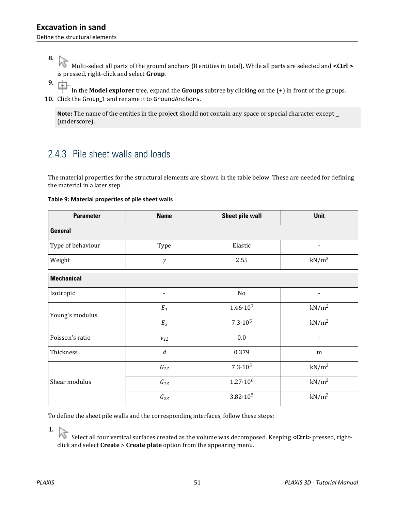## <span id="page-8-0"></span>**8.**

 Multi-select all parts of the ground anchors (8 entities in total). While all parts are selected and **<Ctrl >** is pressed, right-click and select **Group**.

**9.** 庫

 In the **Model explorer** tree, expand the **Groups** subtree by clicking on the (+) in front of the groups. **10.** Click the Group\_1 and rename it to GroundAnchors.

**Note:** The name of the entities in the project should not contain any space or special character except \_ (underscore).

## 2.4.3 Pile sheet walls and loads

The material properties for the structural elements are shown in the table below. These are needed for defining the material in a later step.

### **Table 9: Material properties of pile sheet walls**

| <b>Parameter</b>  | <b>Name</b>      | <b>Sheet pile wall</b> | Unit              |
|-------------------|------------------|------------------------|-------------------|
| <b>General</b>    |                  |                        |                   |
| Type of behaviour | Type             | Elastic                |                   |
| Weight            | γ                | 2.55                   | kN/m <sup>3</sup> |
| <b>Mechanical</b> |                  |                        |                   |
| Isotropic         |                  | No                     |                   |
| Young's modulus   | $E_1$            | $1.46 \cdot 10^{7}$    | kN/m <sup>2</sup> |
|                   | $E_2$            | $7.3 \cdot 10^5$       | kN/m <sup>2</sup> |
| Poisson's ratio   | $v_{12}$         | 0.0                    |                   |
| Thickness         | $\boldsymbol{d}$ | 0.379                  | m                 |
|                   | $G_{12}$         | $7.3 \cdot 10^5$       | kN/m <sup>2</sup> |
| Shear modulus     | $G_{13}$         | $1.27 \cdot 10^6$      | kN/m <sup>2</sup> |
|                   | $G_{23}$         | $3.82 \cdot 10^5$      | kN/m <sup>2</sup> |

To define the sheet pile walls and the corresponding interfaces, follow these steps:

**1.**

Select all four vertical surfaces created as the volume was decomposed. Keeping <Ctrl> pressed, rightclick and select **Create** > **Create plate** option from the appearing menu.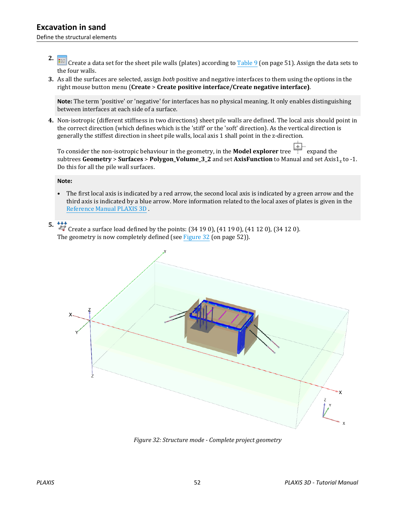- **2.** Create a data set for the sheet pile walls (plates) according to [Table 9](#page-8-0) (on page 51). Assign the data sets to the four walls.
- **3.** As all the surfaces are selected, assign *both* positive and negative interfaces to them using the options in the right mouse button menu (**Create** > **Create positive interface/Create negative interface)**.

**Note:** The term 'positive' or 'negative' for interfaces has no physical meaning. It only enables distinguishing between interfaces at each side of a surface.

**4.** Non-isotropic (different stiffness in two directions) sheet pile walls are defined. The local axis should point in the correct direction (which defines which is the 'stiff' or the 'soft' direction). As the vertical direction is generally the stiffest direction in sheet pile walls, local axis 1 shall point in the z-direction.

To consider the non-isotropic behaviour in the geometry, in the **Model explorer** tree  $\frac{[+]}{[+]}$  expand the subtrees Geometry > Surfaces > Polygon\_Volume\_3\_2 and set AxisFunction to Manual and set Axis1<sub>z</sub> to -1. Do this for all the pile wall surfaces.

### **Note:**

• The first local axis is indicated by a red arrow, the second local axis is indicated by a green arrow and the third axis is indicated by a blue arrow. More information related to the local axes of plates is given in the Reference Manual PLAXIS 3D .

## **5.**

 Create a surface load defined by the points: (34 19 0), (41 19 0), (41 12 0), (34 12 0). The geometry is now completely defined (see Figure 32 (on page 52)).



*Figure 32: Structure mode - Complete project geometry*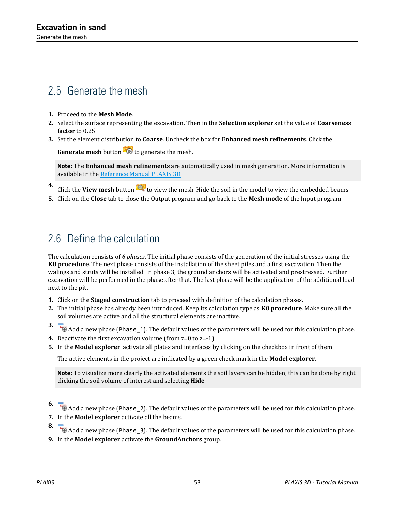# 2.5 Generate the mesh

- **1.** Proceed to the **Mesh Mode**.
- **2.** Select the surface representing the excavation. Then in the **Selection explorer** set the value of **Coarseness factor** to 0.25.
- **3.** Set the element distribution to **Coarse**. Uncheck the box for **Enhanced mesh refinements**. Click the

**Generate mesh** button **to** to generate the mesh.

**Note:** The **Enhanced mesh refinements** are automatically used in mesh generation. More information is available in the Reference Manual PLAXIS 3D .

- **4.** Click the **View mesh** button  $\mathbb{R}^n$  to view the mesh. Hide the soil in the model to view the embedded beams.
- **5.** Click on the **Close** tab to close the Output program and go back to the **Mesh mode** of the Input program.

# 2.6 Define the calculation

The calculation consists of *6 phases*. The initial phase consists of the generation of the initial stresses using the **K0 procedure**. The next phase consists of the installation of the sheet piles and a first excavation. Then the walings and struts will be installed. In phase 3, the ground anchors will be activated and prestressed. Further excavation will be performed in the phase after that. The last phase will be the application of the additional load next to the pit.

- **1.** Click on the **Staged construction** tab to proceed with definition of the calculation phases.
- **2.** The initial phase has already been introduced. Keep its calculation type as **K0 procedure**. Make sure all the soil volumes are active and all the structural elements are inactive.
- **3.** The Add a new phase (Phase\_1). The default values of the parameters will be used for this calculation phase.
- **4.** Deactivate the first excavation volume (from z=0 to z=-1).
- **5.** In the **Model explorer**, activate all plates and interfaces by clicking on the checkbox in front of them.

The active elements in the project are indicated by a green check mark in the **Model explorer**.

**Note:** To visualize more clearly the activated elements the soil layers can be hidden, this can be done by right clicking the soil volume of interest and selecting **Hide**.

- .
- **6.** Add a new phase (Phase\_2). The default values of the parameters will be used for this calculation phase.
- **7.** In the **Model explorer** activate all the beams.
- **8.**  $\overline{\bullet}$  Add a new phase (Phase\_3). The default values of the parameters will be used for this calculation phase.
- **9.** In the **Model explorer** activate the **GroundAnchors** group.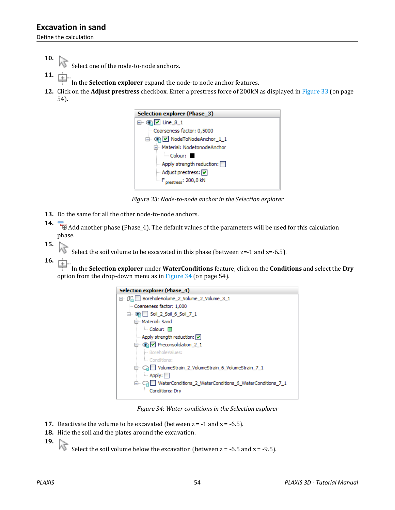Define the calculation

**10.**

Select one of the node-to-node anchors.

- **11.**
	- In the **Selection explorer** expand the node-to node anchor features.
- **12.** Click on the **Adjust prestress** checkbox. Enter a prestress force of 200kN as displayed in Figure 33 (on page 54).



*Figure 33: Node-to-node anchor in the Selection explorer*

**13.** Do the same for all the other node-to-node anchors.

**14.**  $\Box$  Add another phase (Phase\_4). The default values of the parameters will be used for this calculation phase.

**15.**

Select the soil volume to be excavated in this phase (between  $z=-1$  and  $z=-6.5$ ).

**16.** 庄

 In the **Selection explorer** under **WaterConditions** feature, click on the **Conditions** and select the **Dry** option from the drop-down menu as in Figure 34 (on page 54).



*Figure 34: Water conditions in the Selection explorer*

- **17.** Deactivate the volume to be excavated (between  $z = -1$  and  $z = -6.5$ ).
- **18.** Hide the soil and the plates around the excavation.
- **19.**
	- Select the soil volume below the excavation (between  $z = -6.5$  and  $z = -9.5$ ).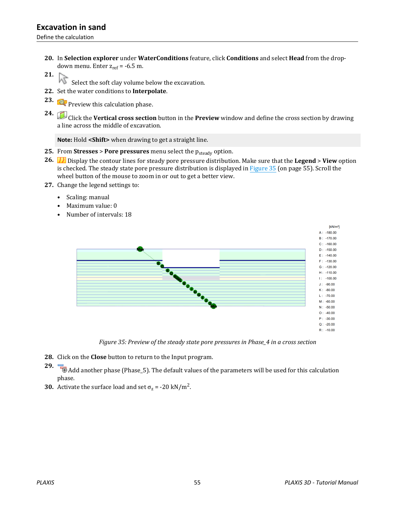Define the calculation

- **20.** In **Selection explorer** under **WaterConditions** feature, click **Conditions** and select **Head** from the dropdown menu. Enter  $z_{ref}$  = -6.5 m.
- **21.** ΜÇ
	- Select the soft clay volume below the excavation.
- **22.** Set the water conditions to **Interpolate**.
- **23. Preview this calculation phase.**
- **24.** Click the **Vertical cross section** button in the **Preview** window and define the cross section by drawing a line across the middle of excavation.

**Note:** Hold **<Shift>** when drawing to get a straight line.

- **25.** From **Stresses** > **Pore pressures** menu select the p<sub>steady</sub> option.
- **26.** Display the contour lines for steady pore pressure distribution. Make sure that the **Legend** > **View** option is checked. The steady state pore pressure distribution is displayed in Figure 35 (on page 55). Scroll the wheel button of the mouse to zoom in or out to get a better view.
- **27.** Change the legend settings to:
	- Scaling: manual
	- Maximum value: 0
	- Number of intervals: 18



*Figure 35: Preview of the steady state pore pressures in Phase\_4 in a cross section*

- **28.** Click on the **Close** button to return to the Input program.
- **29.** Add another phase (Phase\_5). The default values of the parameters will be used for this calculation phase.
- **30.** Activate the surface load and set  $\sigma_z$  = -20 kN/m<sup>2</sup>.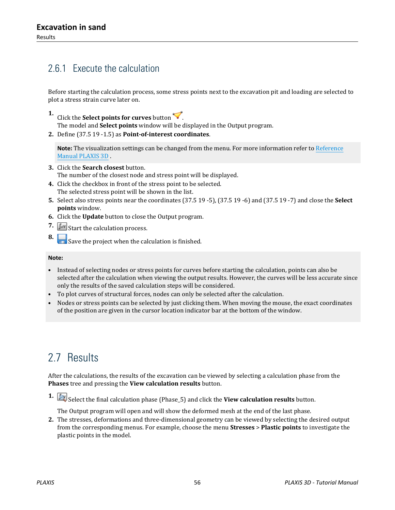## 2.6.1 Execute the calculation

Before starting the calculation process, some stress points next to the excavation pit and loading are selected to plot a stress strain curve later on.

- **1.** Click the **Select points for curves** button .
	- The model and **Select points** window will be displayed in the Output program.
- **2.** Define (37.5 19 -1.5) as **Point-of-interest coordinates**.

**Note:** The visualization settings can be changed from the menu. For more information refer to Reference Manual PLAXIS 3D .

- **3.** Click the **Search closest** button. The number of the closest node and stress point will be displayed.
- **4.** Click the checkbox in front of the stress point to be selected. The selected stress point will be shown in the list.
- **5.** Select also stress points near the coordinates (37.5 19 -5), (37.5 19 -6) and (37.5 19 -7) and close the **Select points** window.
- **6.** Click the **Update** button to close the Output program.
- **7.**  $\int_{a}^{b}$  Start the calculation process.
- **8.** Save the project when the calculation is finished.

### **Note:**

- Instead of selecting nodes or stress points for curves before starting the calculation, points can also be selected after the calculation when viewing the output results. However, the curves will be less accurate since only the results of the saved calculation steps will be considered.
- To plot curves of structural forces, nodes can only be selected after the calculation.
- Nodes or stress points can be selected by just clicking them. When moving the mouse, the exact coordinates of the position are given in the cursor location indicator bar at the bottom of the window.

# 2.7 Results

After the calculations, the results of the excavation can be viewed by selecting a calculation phase from the **Phases** tree and pressing the **View calculation results** button.

**1.** Select the final calculation phase (Phase\_5) and click the **View calculation results** button.

The Output program will open and will show the deformed mesh at the end of the last phase.

**2.** The stresses, deformations and three-dimensional geometry can be viewed by selecting the desired output from the corresponding menus. For example, choose the menu **Stresses** > **Plastic points** to investigate the plastic points in the model.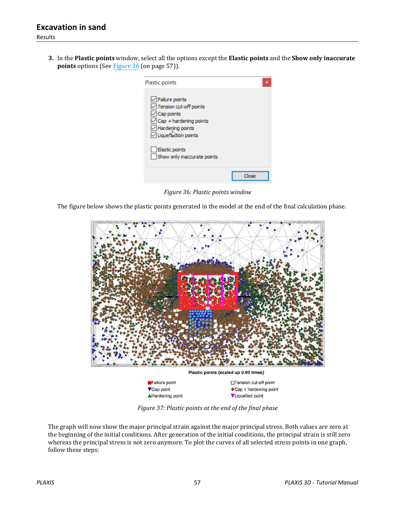**3.** In the **Plastic points** window, select all the options except the **Elastic points** and the **Show only inaccurate points** options (See Figure 36 (on page 57)).

| Plastic points                                                                                                                                                                                              | ×     |
|-------------------------------------------------------------------------------------------------------------------------------------------------------------------------------------------------------------|-------|
| $\sqrt{}$ Failure points<br>Tension cut-off points<br>$\sqrt{\phantom{a}}$ Cap points<br>$\sqrt{\frac{2}{1}}$ Cap + hardening points<br>$\vee$ Hardening points<br>$\sqrt{\phantom{a}}$ Liquefaction points |       |
| Elastic points<br>Show only inaccurate points                                                                                                                                                               |       |
|                                                                                                                                                                                                             | Close |

*Figure 36: Plastic points window*

The figure below shows the plastic points generated in the model at the end of the final calculation phase.



*Figure 37: Plastic points at the end of the final phase*

The graph will now show the major principal strain against the major principal stress. Both values are zero at the beginning of the initial conditions. After generation of the initial conditions, the principal strain is still zero whereas the principal stress is not zero anymore. To plot the curves of all selected stress points in one graph, follow these steps: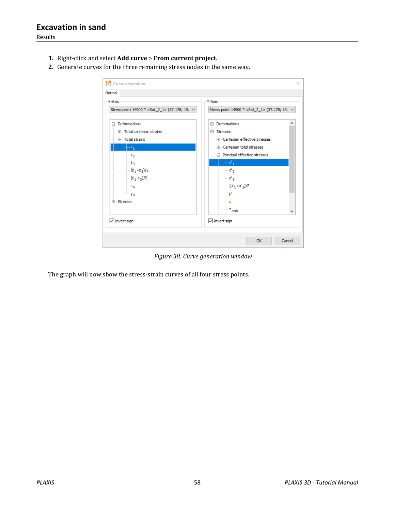Results

- **1.** Right-click and select **Add curve** > **From current project**.
- **2.** Generate curves for the three remaining stress nodes in the same way.

| X-Axis                                                | Y-Axis                                                |
|-------------------------------------------------------|-------------------------------------------------------|
|                                                       |                                                       |
| Stress point 14900 * < Soil_2_1 > (37.178; 19. $\vee$ | Stress point 14900 * < Soil 2 1 > (37.178; 19. $\vee$ |
| <b>□</b> Deformations                                 | <b>ED</b> - Deformations                              |
| Fill- Total cartesian strains                         | <b>⊟</b> Stresses                                     |
| □ Total strains                                       | The Cartesian effective stresses                      |
| $-\epsilon_1$                                         | <b>El</b> Cartesian total stresses                    |
| ⊩εչ                                                   | Principal effective stresses                          |
| ⊢εց                                                   | $-a_1$                                                |
| $-\frac{(\epsilon_1+\epsilon_3)}{2}$                  | …σ' <sub>Σ</sub>                                      |
| $(\epsilon_1 - \epsilon_3)/2$                         | $-\sigma_3$                                           |
| $-\epsilon$ <sub>V</sub>                              | $-(\sigma_1+\sigma_3)/2$                              |
| $-\mathbf{v}_\mathbf{s}$                              | ∣… p'                                                 |
| Fi-Stresses                                           | l∾q                                                   |
|                                                       | $\mathsf{L}$ . T <sub>mob</sub>                       |
|                                                       | w                                                     |
| $\sqrt{}$ Invert sign                                 | $\sqrt{}$ Invert sign                                 |

*Figure 38: Curve generation window*

The graph will now show the stress-strain curves of all four stress points.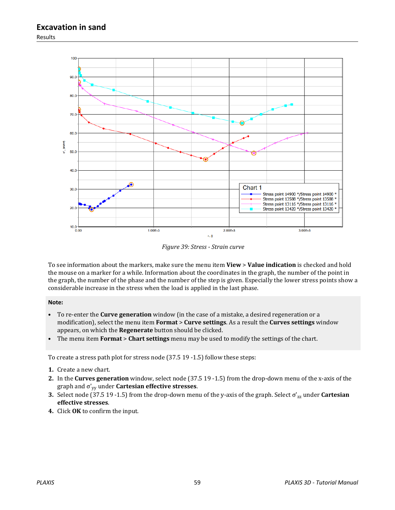Results



*Figure 39: Stress - Strain curve*

To see information about the markers, make sure the menu item **View** > **Value indication** is checked and hold the mouse on a marker for a while. Information about the coordinates in the graph, the number of the point in the graph, the number of the phase and the number of the step is given. Especially the lower stress points show a considerable increase in the stress when the load is applied in the last phase.

### **Note:**

- To re-enter the **Curve generation** window (in the case of a mistake, a desired regeneration or a modification), select the menu item **Format** > **Curve settings**. As a result the **Curves settings** window appears, on which the **Regenerate** button should be clicked.
- The menu item **Format** > **Chart settings** menu may be used to modify the settings of the chart.

To create a stress path plot for stress node (37.5 19 -1.5) follow these steps:

- **1.** Create a new chart.
- **2.** In the **Curves generation** window, select node (37.5 19 -1.5) from the drop-down menu of the x-axis of the graph and σ'yy under **Cartesian effective stresses**.
- **3.** Select node (37.5 19 -1.5) from the drop-down menu of the y-axis of the graph. Select σ'zz under **Cartesian effective stresses**.
- **4.** Click **OK** to confirm the input.